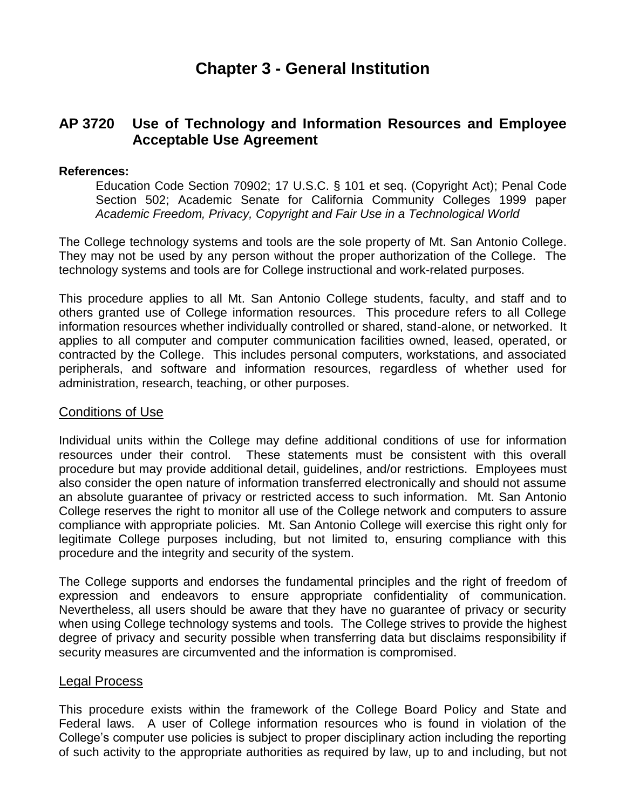# **Chapter 3 - General Institution**

# **AP 3720 Use of Technology and Information Resources and Employee Acceptable Use Agreement**

#### **References:**

Education Code Section 70902; 17 U.S.C. § 101 et seq. (Copyright Act); Penal Code Section 502; Academic Senate for California Community Colleges 1999 paper *Academic Freedom, Privacy, Copyright and Fair Use in a Technological World*

The College technology systems and tools are the sole property of Mt. San Antonio College. They may not be used by any person without the proper authorization of the College. The technology systems and tools are for College instructional and work-related purposes.

This procedure applies to all Mt. San Antonio College students, faculty, and staff and to others granted use of College information resources. This procedure refers to all College information resources whether individually controlled or shared, stand-alone, or networked. It applies to all computer and computer communication facilities owned, leased, operated, or contracted by the College. This includes personal computers, workstations, and associated peripherals, and software and information resources, regardless of whether used for administration, research, teaching, or other purposes.

#### Conditions of Use

Individual units within the College may define additional conditions of use for information resources under their control. These statements must be consistent with this overall procedure but may provide additional detail, guidelines, and/or restrictions. Employees must also consider the open nature of information transferred electronically and should not assume an absolute guarantee of privacy or restricted access to such information. Mt. San Antonio College reserves the right to monitor all use of the College network and computers to assure compliance with appropriate policies. Mt. San Antonio College will exercise this right only for legitimate College purposes including, but not limited to, ensuring compliance with this procedure and the integrity and security of the system.

The College supports and endorses the fundamental principles and the right of freedom of expression and endeavors to ensure appropriate confidentiality of communication. Nevertheless, all users should be aware that they have no guarantee of privacy or security when using College technology systems and tools. The College strives to provide the highest degree of privacy and security possible when transferring data but disclaims responsibility if security measures are circumvented and the information is compromised.

#### Legal Process

This procedure exists within the framework of the College Board Policy and State and Federal laws. A user of College information resources who is found in violation of the College's computer use policies is subject to proper disciplinary action including the reporting of such activity to the appropriate authorities as required by law, up to and including, but not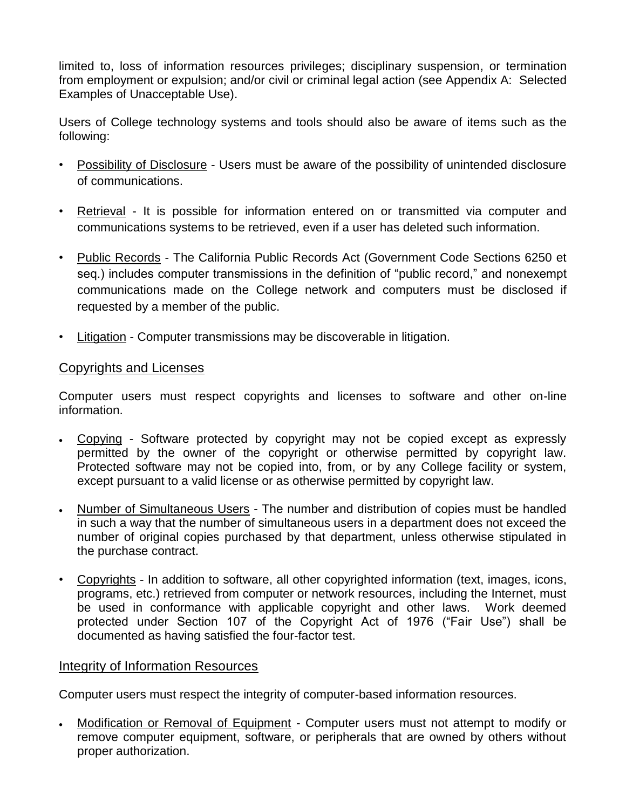limited to, loss of information resources privileges; disciplinary suspension, or termination from employment or expulsion; and/or civil or criminal legal action (see Appendix A: Selected Examples of Unacceptable Use).

Users of College technology systems and tools should also be aware of items such as the following:

- Possibility of Disclosure Users must be aware of the possibility of unintended disclosure of communications.
- Retrieval It is possible for information entered on or transmitted via computer and communications systems to be retrieved, even if a user has deleted such information.
- Public Records The California Public Records Act (Government Code Sections 6250 et seq.) includes computer transmissions in the definition of "public record," and nonexempt communications made on the College network and computers must be disclosed if requested by a member of the public.
- Litigation Computer transmissions may be discoverable in litigation.

## Copyrights and Licenses

Computer users must respect copyrights and licenses to software and other on-line information.

- Copying Software protected by copyright may not be copied except as expressly permitted by the owner of the copyright or otherwise permitted by copyright law. Protected software may not be copied into, from, or by any College facility or system, except pursuant to a valid license or as otherwise permitted by copyright law.
- Number of Simultaneous Users The number and distribution of copies must be handled in such a way that the number of simultaneous users in a department does not exceed the number of original copies purchased by that department, unless otherwise stipulated in the purchase contract.
- Copyrights In addition to software, all other copyrighted information (text, images, icons, programs, etc.) retrieved from computer or network resources, including the Internet, must be used in conformance with applicable copyright and other laws. Work deemed protected under Section 107 of the Copyright Act of 1976 ("Fair Use") shall be documented as having satisfied the four-factor test.

#### Integrity of Information Resources

Computer users must respect the integrity of computer-based information resources.

• Modification or Removal of Equipment - Computer users must not attempt to modify or remove computer equipment, software, or peripherals that are owned by others without proper authorization.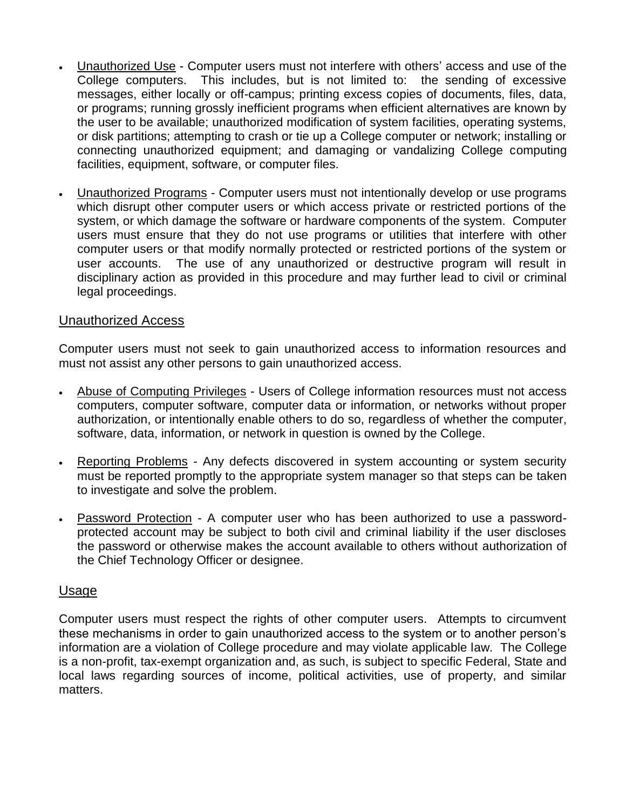- Unauthorized Use Computer users must not interfere with others' access and use of the College computers. This includes, but is not limited to: the sending of excessive messages, either locally or off-campus; printing excess copies of documents, files, data, or programs; running grossly inefficient programs when efficient alternatives are known by the user to be available; unauthorized modification of system facilities, operating systems, or disk partitions; attempting to crash or tie up a College computer or network; installing or connecting unauthorized equipment; and damaging or vandalizing College computing facilities, equipment, software, or computer files.
- Unauthorized Programs Computer users must not intentionally develop or use programs which disrupt other computer users or which access private or restricted portions of the system, or which damage the software or hardware components of the system. Computer users must ensure that they do not use programs or utilities that interfere with other computer users or that modify normally protected or restricted portions of the system or user accounts. The use of any unauthorized or destructive program will result in disciplinary action as provided in this procedure and may further lead to civil or criminal legal proceedings.

## Unauthorized Access

Computer users must not seek to gain unauthorized access to information resources and must not assist any other persons to gain unauthorized access.

- Abuse of Computing Privileges Users of College information resources must not access computers, computer software, computer data or information, or networks without proper authorization, or intentionally enable others to do so, regardless of whether the computer, software, data, information, or network in question is owned by the College.
- Reporting Problems Any defects discovered in system accounting or system security must be reported promptly to the appropriate system manager so that steps can be taken to investigate and solve the problem.
- Password Protection A computer user who has been authorized to use a passwordprotected account may be subject to both civil and criminal liability if the user discloses the password or otherwise makes the account available to others without authorization of the Chief Technology Officer or designee.

#### Usage

Computer users must respect the rights of other computer users. Attempts to circumvent these mechanisms in order to gain unauthorized access to the system or to another person's information are a violation of College procedure and may violate applicable law. The College is a non-profit, tax-exempt organization and, as such, is subject to specific Federal, State and local laws regarding sources of income, political activities, use of property, and similar matters.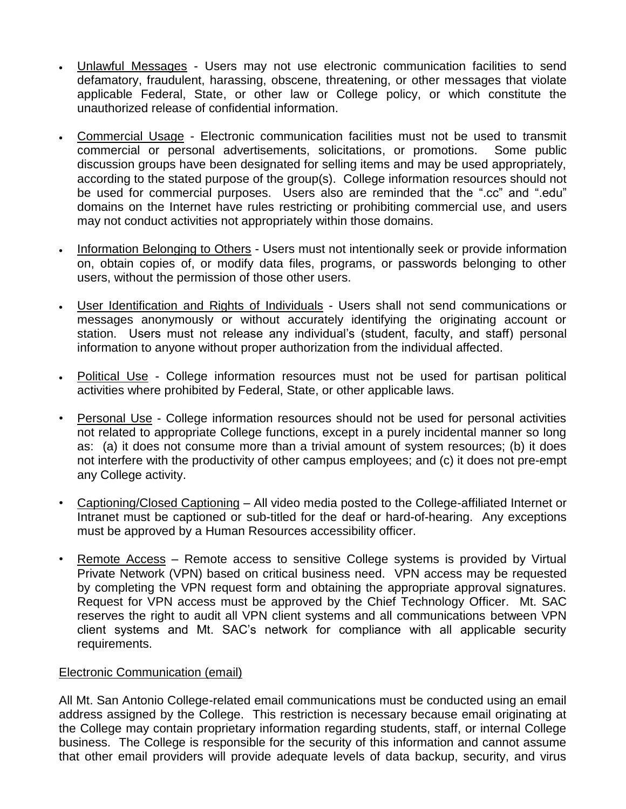- Unlawful Messages Users may not use electronic communication facilities to send defamatory, fraudulent, harassing, obscene, threatening, or other messages that violate applicable Federal, State, or other law or College policy, or which constitute the unauthorized release of confidential information.
- Commercial Usage Electronic communication facilities must not be used to transmit commercial or personal advertisements, solicitations, or promotions. Some public discussion groups have been designated for selling items and may be used appropriately, according to the stated purpose of the group(s). College information resources should not be used for commercial purposes. Users also are reminded that the ".cc" and ".edu" domains on the Internet have rules restricting or prohibiting commercial use, and users may not conduct activities not appropriately within those domains.
- Information Belonging to Others Users must not intentionally seek or provide information on, obtain copies of, or modify data files, programs, or passwords belonging to other users, without the permission of those other users.
- User Identification and Rights of Individuals Users shall not send communications or messages anonymously or without accurately identifying the originating account or station. Users must not release any individual's (student, faculty, and staff) personal information to anyone without proper authorization from the individual affected.
- Political Use College information resources must not be used for partisan political activities where prohibited by Federal, State, or other applicable laws.
- Personal Use College information resources should not be used for personal activities not related to appropriate College functions, except in a purely incidental manner so long as: (a) it does not consume more than a trivial amount of system resources; (b) it does not interfere with the productivity of other campus employees; and (c) it does not pre-empt any College activity.
- Captioning/Closed Captioning All video media posted to the College-affiliated Internet or Intranet must be captioned or sub-titled for the deaf or hard-of-hearing. Any exceptions must be approved by a Human Resources accessibility officer.
- Remote Access Remote access to sensitive College systems is provided by Virtual Private Network (VPN) based on critical business need. VPN access may be requested by completing the VPN request form and obtaining the appropriate approval signatures. Request for VPN access must be approved by the Chief Technology Officer. Mt. SAC reserves the right to audit all VPN client systems and all communications between VPN client systems and Mt. SAC's network for compliance with all applicable security requirements.

#### Electronic Communication (email)

All Mt. San Antonio College-related email communications must be conducted using an email address assigned by the College. This restriction is necessary because email originating at the College may contain proprietary information regarding students, staff, or internal College business. The College is responsible for the security of this information and cannot assume that other email providers will provide adequate levels of data backup, security, and virus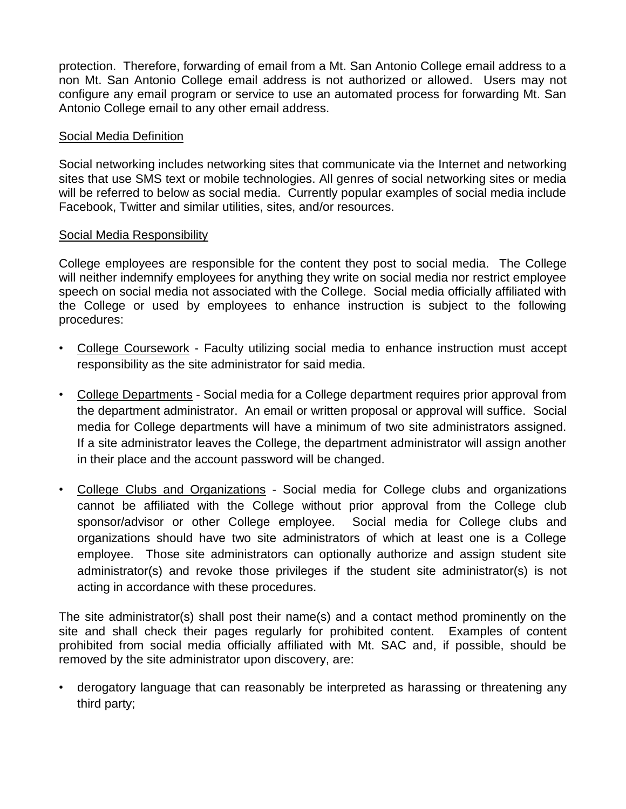protection. Therefore, forwarding of email from a Mt. San Antonio College email address to a non Mt. San Antonio College email address is not authorized or allowed. Users may not configure any email program or service to use an automated process for forwarding Mt. San Antonio College email to any other email address.

#### Social Media Definition

Social networking includes networking sites that communicate via the Internet and networking sites that use SMS text or mobile technologies. All genres of social networking sites or media will be referred to below as social media. Currently popular examples of social media include Facebook, Twitter and similar utilities, sites, and/or resources.

#### Social Media Responsibility

College employees are responsible for the content they post to social media. The College will neither indemnify employees for anything they write on social media nor restrict employee speech on social media not associated with the College. Social media officially affiliated with the College or used by employees to enhance instruction is subject to the following procedures:

- College Coursework Faculty utilizing social media to enhance instruction must accept responsibility as the site administrator for said media.
- College Departments Social media for a College department requires prior approval from the department administrator. An email or written proposal or approval will suffice. Social media for College departments will have a minimum of two site administrators assigned. If a site administrator leaves the College, the department administrator will assign another in their place and the account password will be changed.
- College Clubs and Organizations Social media for College clubs and organizations cannot be affiliated with the College without prior approval from the College club sponsor/advisor or other College employee. Social media for College clubs and organizations should have two site administrators of which at least one is a College employee. Those site administrators can optionally authorize and assign student site administrator(s) and revoke those privileges if the student site administrator(s) is not acting in accordance with these procedures.

The site administrator(s) shall post their name(s) and a contact method prominently on the site and shall check their pages regularly for prohibited content. Examples of content prohibited from social media officially affiliated with Mt. SAC and, if possible, should be removed by the site administrator upon discovery, are:

• derogatory language that can reasonably be interpreted as harassing or threatening any third party;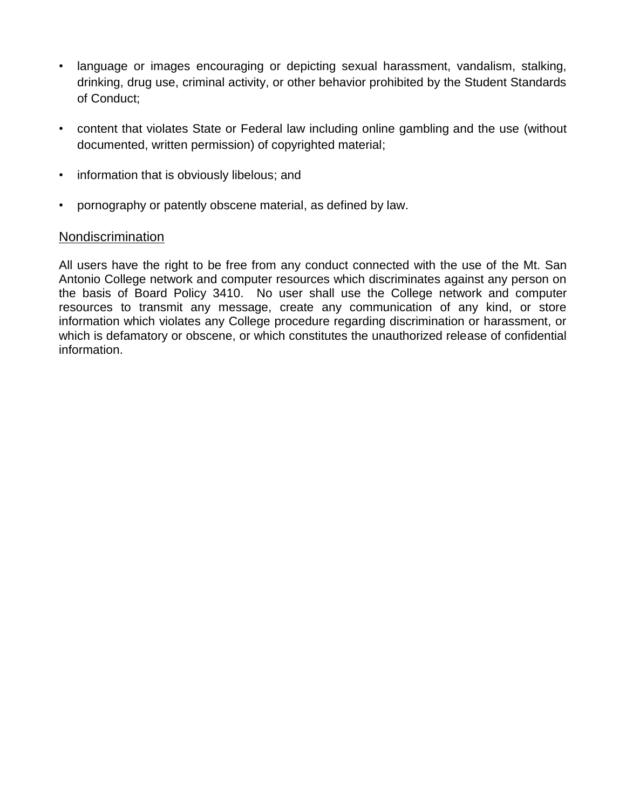- language or images encouraging or depicting sexual harassment, vandalism, stalking, drinking, drug use, criminal activity, or other behavior prohibited by the Student Standards of Conduct;
- content that violates State or Federal law including online gambling and the use (without documented, written permission) of copyrighted material;
- information that is obviously libelous; and
- pornography or patently obscene material, as defined by law.

## Nondiscrimination

All users have the right to be free from any conduct connected with the use of the Mt. San Antonio College network and computer resources which discriminates against any person on the basis of Board Policy 3410. No user shall use the College network and computer resources to transmit any message, create any communication of any kind, or store information which violates any College procedure regarding discrimination or harassment, or which is defamatory or obscene, or which constitutes the unauthorized release of confidential information.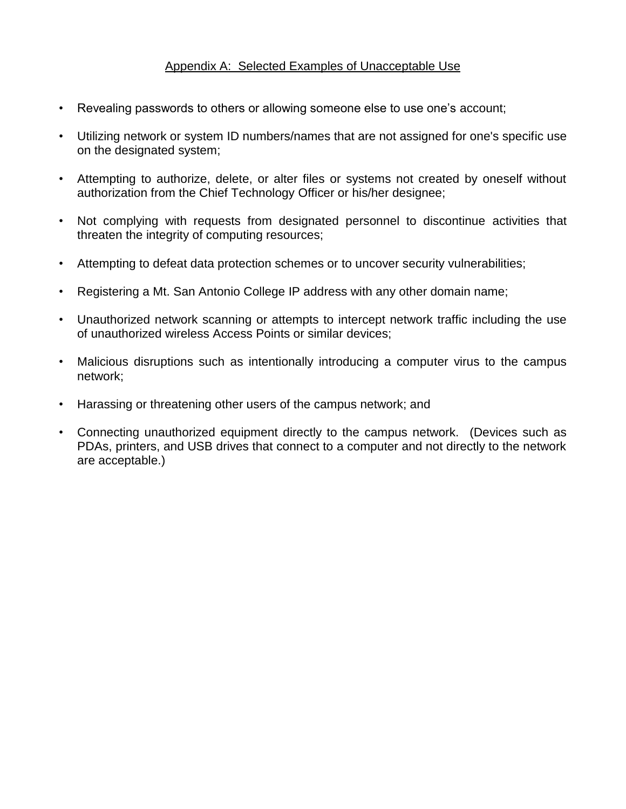## Appendix A: Selected Examples of Unacceptable Use

- Revealing passwords to others or allowing someone else to use one's account;
- Utilizing network or system ID numbers/names that are not assigned for one's specific use on the designated system;
- Attempting to authorize, delete, or alter files or systems not created by oneself without authorization from the Chief Technology Officer or his/her designee;
- Not complying with requests from designated personnel to discontinue activities that threaten the integrity of computing resources;
- Attempting to defeat data protection schemes or to uncover security vulnerabilities;
- Registering a Mt. San Antonio College IP address with any other domain name;
- Unauthorized network scanning or attempts to intercept network traffic including the use of unauthorized wireless Access Points or similar devices;
- Malicious disruptions such as intentionally introducing a computer virus to the campus network;
- Harassing or threatening other users of the campus network; and
- Connecting unauthorized equipment directly to the campus network. (Devices such as PDAs, printers, and USB drives that connect to a computer and not directly to the network are acceptable.)